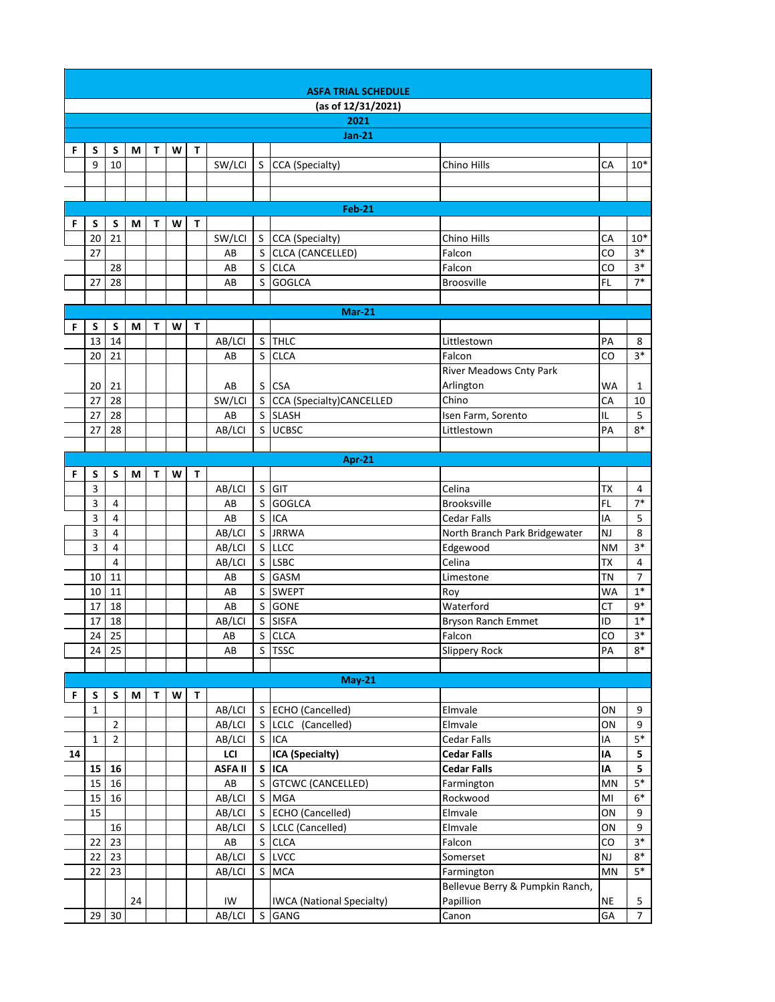|    | <b>ASFA TRIAL SCHEDULE</b> |                |    |              |   |   |                |              |                                                             |                                     |                |  |  |
|----|----------------------------|----------------|----|--------------|---|---|----------------|--------------|-------------------------------------------------------------|-------------------------------------|----------------|--|--|
|    |                            |                |    |              |   |   |                |              | (as of 12/31/2021)                                          |                                     |                |  |  |
|    |                            |                |    |              |   |   |                |              | 2021                                                        |                                     |                |  |  |
|    |                            |                |    |              |   |   |                |              | <b>Jan-21</b>                                               |                                     |                |  |  |
| F  | S                          | S              | М  | $\mathsf{T}$ | W | T |                |              |                                                             |                                     |                |  |  |
|    | 9                          | 10             |    |              |   |   | SW/LCI         | S.           | CCA (Specialty)<br>Chino Hills                              | CA                                  | $10*$          |  |  |
|    |                            |                |    |              |   |   |                |              |                                                             |                                     |                |  |  |
|    |                            |                |    |              |   |   |                |              |                                                             |                                     |                |  |  |
|    |                            |                |    |              |   |   |                |              | $Feb-21$                                                    |                                     |                |  |  |
| F  | S                          | S              | М  | Т            | W | T |                |              |                                                             |                                     |                |  |  |
|    | 20                         | 21             |    |              |   |   | SW/LCI         | S.           | CCA (Specialty)<br>Chino Hills                              | CA                                  | $10*$<br>$3*$  |  |  |
|    | 27                         |                |    |              |   |   | AB             | S.           | CLCA (CANCELLED)<br>Falcon                                  | CO                                  | $3*$           |  |  |
|    | 27                         | 28<br>28       |    |              |   |   | AB<br>AB       | S.<br>S      | <b>CLCA</b><br>Falcon<br><b>GOGLCA</b><br><b>Broosville</b> | CO<br>FL                            | $7*$           |  |  |
|    |                            |                |    |              |   |   |                |              |                                                             |                                     |                |  |  |
|    |                            |                |    |              |   |   |                |              | <b>Mar-21</b>                                               |                                     |                |  |  |
| F  | S                          | S              | М  | T            | W | T |                |              |                                                             |                                     |                |  |  |
|    | 13                         | 14             |    |              |   |   | AB/LCI         | $\sf S$      | <b>THLC</b><br>Littlestown                                  | PA                                  | 8              |  |  |
|    | 20                         | 21             |    |              |   |   | AB             | $\sf S$      | <b>CLCA</b><br>Falcon                                       | CO                                  | $3*$           |  |  |
|    |                            |                |    |              |   |   |                |              |                                                             | River Meadows Cnty Park             |                |  |  |
|    | 20                         | 21             |    |              |   |   | AB             | S.           | <b>CSA</b><br>Arlington                                     | WA                                  | 1              |  |  |
|    | 27                         | 28             |    |              |   |   | SW/LCI         |              | S CCA (Specialty)CANCELLED<br>Chino                         | CA                                  | 10             |  |  |
|    | 27                         | 28             |    |              |   |   | AB             |              | S SLASH<br>Isen Farm, Sorento                               | IL                                  | 5              |  |  |
|    | 27                         | 28             |    |              |   |   | AB/LCI         | S.           | <b>UCBSC</b><br>Littlestown                                 | PA                                  | $8*$           |  |  |
|    |                            |                |    |              |   |   |                |              |                                                             |                                     |                |  |  |
|    |                            |                |    |              |   |   |                |              | Apr-21                                                      |                                     |                |  |  |
| F  | S                          | S              | М  | т            | W | T |                |              |                                                             |                                     |                |  |  |
|    | 3<br>3                     | 4              |    |              |   |   | AB/LCI<br>AB   | S<br>$\sf S$ | GIT<br>Celina<br><b>GOGLCA</b><br><b>Brooksville</b>        | ТX<br>FL                            | 4<br>$7*$      |  |  |
|    | 3                          | 4              |    |              |   |   | AB             | $\mathsf{S}$ | <b>ICA</b><br><b>Cedar Falls</b>                            | IA                                  | 5              |  |  |
|    | 3                          | 4              |    |              |   |   | AB/LCI         | S            | <b>JRRWA</b>                                                | North Branch Park Bridgewater<br>NJ | 8              |  |  |
|    | 3                          | 4              |    |              |   |   | AB/LCI         |              | $S$ LLCC<br>Edgewood                                        | <b>NM</b>                           | $3*$           |  |  |
|    |                            | 4              |    |              |   |   | AB/LCI         | S.           | <b>LSBC</b><br>Celina                                       | <b>TX</b>                           | $\pmb{4}$      |  |  |
|    | 10                         | 11             |    |              |   |   | AB             | S            | <b>GASM</b><br>Limestone                                    | <b>TN</b>                           | $\overline{7}$ |  |  |
|    | 10                         | 11             |    |              |   |   | AB             | $\mathsf{S}$ | <b>SWEPT</b><br>Roy                                         | <b>WA</b>                           | $1*$           |  |  |
|    | 17                         | 18             |    |              |   |   | AB             | S.           | <b>GONE</b><br>Waterford                                    | <b>CT</b>                           | $9*$           |  |  |
|    | 17                         | 18             |    |              |   |   | AB/LCI         |              | S SISFA                                                     | ID<br><b>Bryson Ranch Emmet</b>     | $1^\ast$       |  |  |
|    | 24                         | 25             |    |              |   |   | AB             |              | $\overline{\mathsf{S}}$ CLCA<br>Falcon                      | $\mathsf{CO}$                       | $2*$           |  |  |
|    | 24                         | 25             |    |              |   |   | AB             | S            | Slippery Rock<br><b>TSSC</b>                                | PA                                  | $8*$           |  |  |
|    |                            |                |    |              |   |   |                |              |                                                             |                                     |                |  |  |
|    |                            |                |    |              |   |   |                |              | <b>May-21</b>                                               |                                     |                |  |  |
| F  | S<br>$\mathbf{1}$          | S              | M  | т            | W | T | AB/LCI         |              | S ECHO (Cancelled)<br>Elmvale                               | ON                                  | 9              |  |  |
|    |                            | $\overline{2}$ |    |              |   |   | AB/LCI         | S.           | LCLC (Cancelled)<br>Elmvale                                 | ON                                  | 9              |  |  |
|    | $\mathbf 1$                | $\overline{2}$ |    |              |   |   | AB/LCI         | S            | <b>ICA</b><br>Cedar Falls                                   | IA                                  | $5^\ast$       |  |  |
| 14 |                            |                |    |              |   |   | LCI            |              | ICA (Specialty)<br><b>Cedar Falls</b>                       | IA                                  | 5              |  |  |
|    | 15                         | ${\bf 16}$     |    |              |   |   | <b>ASFA II</b> |              | S ICA<br><b>Cedar Falls</b>                                 | IA                                  | 5              |  |  |
|    | 15                         | 16             |    |              |   |   | ${\sf AB}$     | $\mathsf{S}$ | <b>GTCWC (CANCELLED)</b><br>Farmington                      | MN                                  | $5*$           |  |  |
|    | 15                         | 16             |    |              |   |   | AB/LCI         |              | S MGA<br>Rockwood                                           | MI                                  | $6*$           |  |  |
|    | 15                         |                |    |              |   |   | AB/LCI         |              | S ECHO (Cancelled)<br>Elmvale                               | ON                                  | 9              |  |  |
|    |                            | 16             |    |              |   |   | AB/LCI         |              | S   LCLC (Cancelled)<br>Elmvale                             | ON                                  | 9              |  |  |
|    | 22                         | 23             |    |              |   |   | AB             |              | S CLCA<br>Falcon                                            | CO                                  | $3*$           |  |  |
|    | 22                         | 23             |    |              |   |   | AB/LCI         | S            | LVCC<br>Somerset                                            | NJ                                  | $8*$           |  |  |
|    | 22                         | 23             |    |              |   |   | AB/LCI         | S.           | <b>MCA</b><br>Farmington                                    | MN                                  | $5*$           |  |  |
|    |                            |                |    |              |   |   |                |              |                                                             | Bellevue Berry & Pumpkin Ranch,     |                |  |  |
|    |                            |                | 24 |              |   |   | IW             |              | Papillion<br><b>IWCA</b> (National Specialty)               | <b>NE</b>                           | 5              |  |  |
|    | 29                         | 30             |    |              |   |   | AB/LCI         | S            | Canon<br>GANG                                               | GA                                  | $\overline{7}$ |  |  |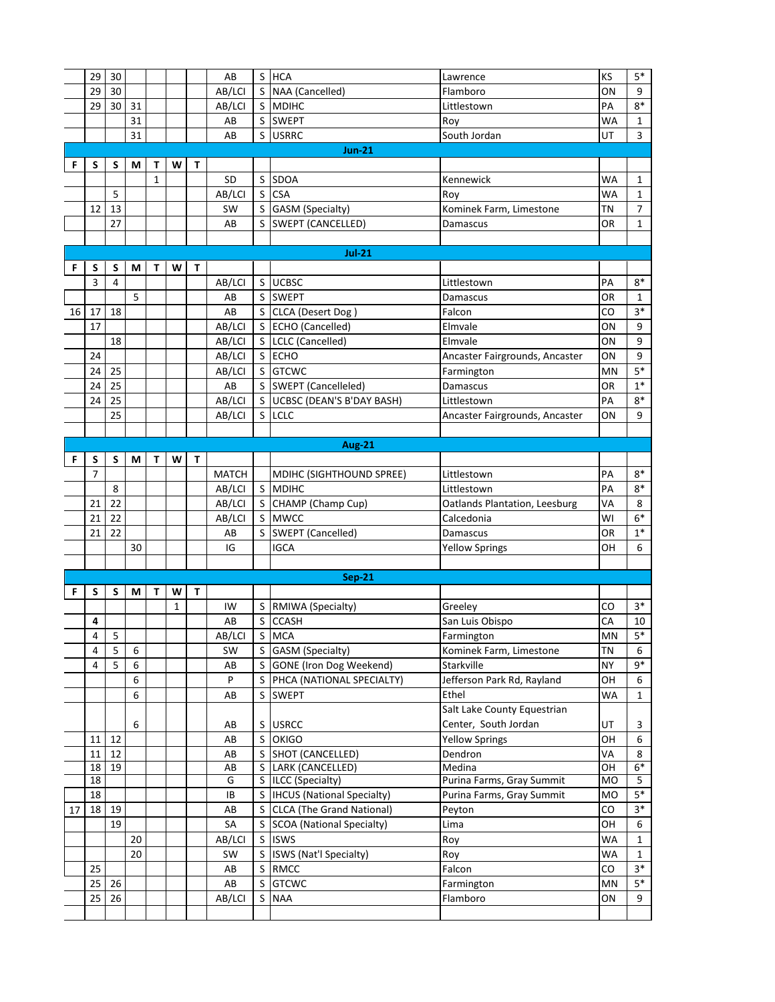|    | 29                      | 30                       |    |   |              |    | AB                     | S  | <b>HCA</b>                               | Lawrence                            | KS        | $5*$             |
|----|-------------------------|--------------------------|----|---|--------------|----|------------------------|----|------------------------------------------|-------------------------------------|-----------|------------------|
|    | 29                      | 30                       |    |   |              |    | AB/LCI                 | S  | NAA (Cancelled)                          | Flamboro                            | OΝ        | 9                |
|    | 29                      | 30                       | 31 |   |              |    | AB/LCI                 |    | S MDIHC                                  | Littlestown                         | PA        | $8*$             |
|    |                         |                          | 31 |   |              |    | AB                     |    | S SWEPT                                  | Roy                                 | WA        | $\mathbf{1}$     |
|    |                         |                          | 31 |   |              |    | AB                     |    | S USRRC                                  | South Jordan                        | UT        | 3                |
|    |                         |                          |    |   |              |    |                        |    | <b>Jun-21</b>                            |                                     |           |                  |
| F  | S                       | S                        | М  | T | W            | T. |                        |    |                                          |                                     |           |                  |
|    |                         |                          |    | 1 |              |    | <b>SD</b>              | S  | <b>SDOA</b>                              | Kennewick                           | <b>WA</b> | $\mathbf{1}$     |
|    |                         | 5                        |    |   |              |    | AB/LCI                 |    | S CSA                                    | Roy                                 | <b>WA</b> | $\mathbf{1}$     |
|    | 12                      | 13                       |    |   |              |    | <b>SW</b>              |    | S GASM (Specialty)                       | Kominek Farm, Limestone             | <b>TN</b> | $\overline{7}$   |
|    |                         | 27                       |    |   |              |    | AB                     |    | S SWEPT (CANCELLED)                      | Damascus                            | <b>OR</b> | $\mathbf{1}$     |
|    |                         |                          |    |   |              |    |                        |    |                                          |                                     |           |                  |
|    |                         |                          |    |   |              |    |                        |    | <b>Jul-21</b>                            |                                     |           |                  |
| F  | S                       | S                        | М  | т | W            | T. |                        |    |                                          |                                     |           |                  |
|    | 3                       | $\overline{4}$           |    |   |              |    | AB/LCI                 |    | S UCBSC                                  | Littlestown                         | PA        | $8*$             |
|    |                         |                          | 5  |   |              |    | AB                     | S  | <b>SWEPT</b>                             | Damascus                            | OR        | 1                |
| 16 | 17                      | 18                       |    |   |              |    | AB                     |    | S CLCA (Desert Dog)                      | Falcon                              | CO        | $3*$             |
|    | 17                      |                          |    |   |              |    | AB/LCI                 |    | S ECHO (Cancelled)                       | Elmvale                             | OΝ        | 9                |
|    |                         | 18                       |    |   |              |    | AB/LCI                 |    | S LCLC (Cancelled)                       | Elmvale                             | ON        | 9                |
|    | 24                      |                          |    |   |              |    | AB/LCI                 |    | S ECHO                                   | Ancaster Fairgrounds, Ancaster      | ON        | 9                |
|    | 24                      | 25                       |    |   |              |    | AB/LCI                 |    | S GTCWC                                  | Farmington                          | MN        | $5*$             |
|    | 24                      | 25                       |    |   |              |    | AB                     |    | S SWEPT (Cancelleled)                    | Damascus                            | OR        | $1*$             |
|    | 24                      | 25                       |    |   |              |    | AB/LCI                 |    | S UCBSC (DEAN'S B'DAY BASH)              | Littlestown                         | PA        | $8*$             |
|    |                         | 25                       |    |   |              |    | AB/LCI                 |    | S LCLC                                   | Ancaster Fairgrounds, Ancaster      | ON        | 9                |
|    |                         |                          |    |   |              |    |                        |    |                                          |                                     |           |                  |
|    |                         |                          |    |   |              |    |                        |    | <b>Aug-21</b>                            |                                     |           |                  |
| F  | S<br>$\overline{7}$     | S                        | М  | T | W            | T  |                        |    |                                          |                                     |           |                  |
|    |                         | 8                        |    |   |              |    | <b>MATCH</b><br>AB/LCI |    | MDIHC (SIGHTHOUND SPREE)<br>S MDIHC      | Littlestown<br>Littlestown          | PA<br>PA  | $8*$<br>$8*$     |
|    | 21                      | 22                       |    |   |              |    | AB/LCI                 |    | S CHAMP (Champ Cup)                      | Oatlands Plantation, Leesburg       | VA        | 8                |
|    | 21                      | 22                       |    |   |              |    | AB/LCI                 |    | S MWCC                                   | Calcedonia                          | WI        | $6*$             |
|    | 21                      | 22                       |    |   |              |    | AB                     | S. | SWEPT (Cancelled)                        | Damascus                            | OR        | $1^\ast$         |
|    |                         |                          | 30 |   |              |    | IG                     |    | <b>IGCA</b>                              | <b>Yellow Springs</b>               | OН        | 6                |
|    |                         |                          |    |   |              |    |                        |    |                                          |                                     |           |                  |
|    |                         |                          |    |   |              |    |                        |    | <b>Sep-21</b>                            |                                     |           |                  |
| F  | S                       | S                        | М  | т | W            | T  |                        |    |                                          |                                     |           |                  |
|    |                         |                          |    |   | $\mathbf{1}$ |    | IW                     |    | S   RMIWA (Specialty)                    | Greeley                             | CO        | $3*$             |
|    | 4                       |                          |    |   |              |    | AB                     |    | S CCASH                                  | San Luis Obispo                     | CA        | 10               |
|    | $\overline{\mathbf{4}}$ | $\overline{\phantom{0}}$ |    |   |              |    | AB/LCI                 |    | S MCA                                    | Farmington                          | MN        | $5*$             |
|    | 4                       | 5                        | 6  |   |              |    | SW                     |    | S GASM (Specialty)                       | Kominek Farm, Limestone             | <b>TN</b> | 6                |
|    | 4                       | 5                        | 6  |   |              |    | AB                     |    | S GONE (Iron Dog Weekend)                | Starkville                          | <b>NY</b> | 9*               |
|    |                         |                          | 6  |   |              |    | P                      |    | S PHCA (NATIONAL SPECIALTY)              | Jefferson Park Rd, Rayland          | OH        | 6                |
|    |                         |                          | 6  |   |              |    | AB                     |    | S SWEPT                                  | Ethel                               | WA        | $\mathbf{1}$     |
|    |                         |                          |    |   |              |    |                        |    |                                          | Salt Lake County Equestrian         |           |                  |
|    |                         |                          | 6  |   |              |    | AB                     |    | S USRCC                                  | Center, South Jordan                | UT        | 3                |
|    | 11                      | 12                       |    |   |              |    | AB                     |    | S OKIGO                                  | <b>Yellow Springs</b>               | OH        | $\boldsymbol{6}$ |
|    | 11                      | 12                       |    |   |              |    | AB                     |    | S SHOT (CANCELLED)                       | Dendron                             | VA        | 8<br>$6*$        |
|    | 18<br>18                | 19                       |    |   |              |    | AB<br>G                |    | S LARK (CANCELLED)<br>S ILCC (Specialty) | Medina<br>Purina Farms, Gray Summit | OH<br>MO  | 5                |
|    | 18                      |                          |    |   |              |    | IB                     |    | S  IHCUS (National Specialty)            | Purina Farms, Gray Summit           | MO        | $5*$             |
| 17 | 18                      | 19                       |    |   |              |    | AB                     |    | S CLCA (The Grand National)              | Peyton                              | CO        | $3*$             |
|    |                         | 19                       |    |   |              |    | SА                     |    | S SCOA (National Specialty)              | Lima                                | OH        | 6                |
|    |                         |                          | 20 |   |              |    | AB/LCI                 |    | S ISWS                                   | Roy                                 | WA        | $\mathbf{1}$     |
|    |                         |                          | 20 |   |              |    | SW                     |    | S ISWS (Nat'l Specialty)                 | Roy                                 | WA        | $\mathbf{1}$     |
|    | 25                      |                          |    |   |              |    | AB                     |    | S RMCC                                   | Falcon                              | CO        | $3*$             |
|    | 25                      | 26                       |    |   |              |    | AB                     |    | S GTCWC                                  | Farmington                          | <b>MN</b> | $5*$             |
|    | 25                      | 26                       |    |   |              |    | AB/LCI                 |    | S NAA                                    | Flamboro                            | ON        | 9                |
|    |                         |                          |    |   |              |    |                        |    |                                          |                                     |           |                  |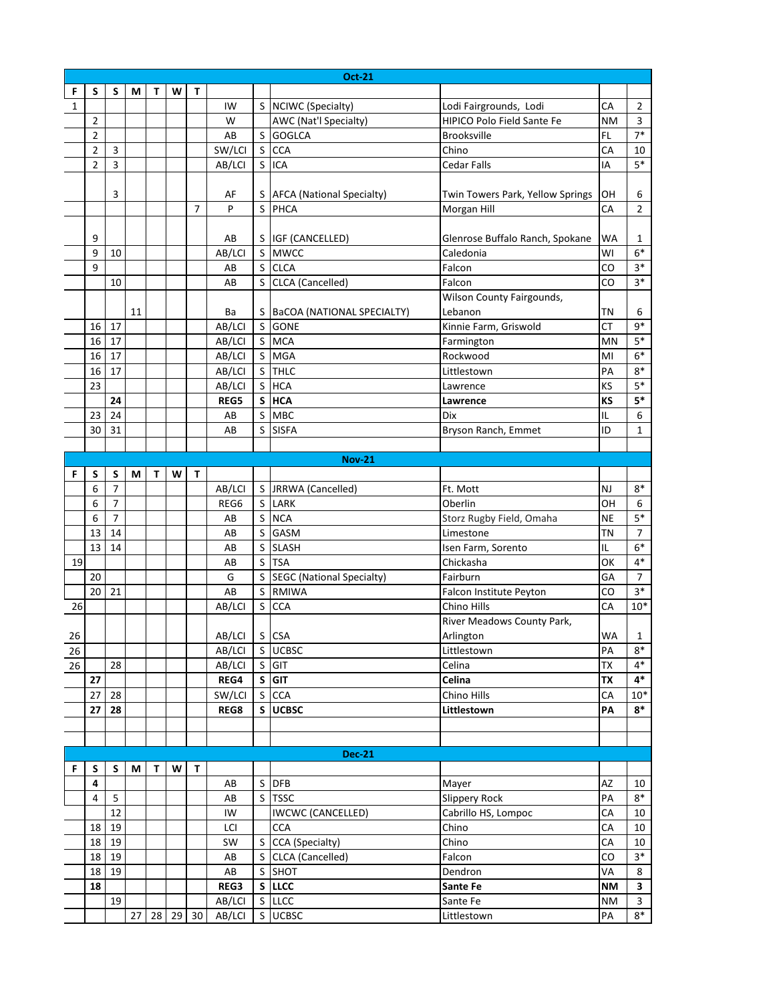|    | <b>Oct-21</b>             |                |    |   |          |                |                        |              |                                  |                                  |           |                |
|----|---------------------------|----------------|----|---|----------|----------------|------------------------|--------------|----------------------------------|----------------------------------|-----------|----------------|
| F  | S                         | S              | M  | т | w        | т              |                        |              |                                  |                                  |           |                |
| 1  |                           |                |    |   |          |                | IW                     |              | S NCIWC (Specialty)              | Lodi Fairgrounds, Lodi           | СA        | 2              |
|    | $\overline{2}$            |                |    |   |          |                | W                      |              | AWC (Nat'l Specialty)            | HIPICO Polo Field Sante Fe       | <b>NM</b> | 3              |
|    | $\overline{2}$            |                |    |   |          |                | AB                     |              | S GOGLCA                         | <b>Brooksville</b>               | FL.       | $7*$           |
|    | $\overline{2}$            | 3              |    |   |          |                | SW/LCI                 | <sub>S</sub> | <b>CCA</b>                       | Chino                            | CA        | 10             |
|    | $\overline{2}$            | 3              |    |   |          |                | AB/LCI                 | S            | ICA                              | <b>Cedar Falls</b>               | IA        | $5*$           |
|    |                           |                |    |   |          |                |                        |              |                                  |                                  |           |                |
|    |                           | 3              |    |   |          |                | AF                     |              | S   AFCA (National Specialty)    | Twin Towers Park, Yellow Springs | OН        | 6              |
|    |                           |                |    |   |          | $\overline{7}$ | P                      | $\mathsf{S}$ | PHCA                             | Morgan Hill                      | CA        | $\overline{2}$ |
|    |                           |                |    |   |          |                |                        |              |                                  |                                  |           |                |
|    | 9                         |                |    |   |          |                | AB                     |              | S IGF (CANCELLED)                | Glenrose Buffalo Ranch, Spokane  | WA        | 1              |
|    | 9                         | 10             |    |   |          |                | AB/LCI                 |              | S MWCC                           | Caledonia                        | WI        | $6*$           |
|    | 9                         |                |    |   |          |                | AB                     | S            | <b>CLCA</b>                      | Falcon                           | CO        | $3*$           |
|    |                           | 10             |    |   |          |                | AB                     | S            | CLCA (Cancelled)                 | Falcon                           | CO        | $3*$           |
|    | Wilson County Fairgounds, |                |    |   |          |                |                        |              |                                  |                                  |           |                |
|    |                           |                | 11 |   |          |                | Ba                     |              | S   BaCOA (NATIONAL SPECIALTY)   | Lebanon                          | ΤN        | 6              |
|    | 16                        | 17             |    |   |          |                | AB/LCI                 | S            | <b>GONE</b>                      | Kinnie Farm, Griswold            | СT        | $9*$           |
|    | 16                        | 17             |    |   |          |                | AB/LCI                 | S            | <b>MCA</b>                       | Farmington                       | MN        | $5*$           |
|    | 16                        | 17             |    |   |          |                | AB/LCI                 | S            | <b>MGA</b>                       | Rockwood                         | MI        | $6*$           |
|    | 16                        | 17             |    |   |          |                | AB/LCI                 |              | S THLC                           | Littlestown                      | PA        | $8*$           |
|    | 23                        |                |    |   |          |                | AB/LCI                 |              | S HCA                            | Lawrence                         | КS        | $5*$           |
|    |                           | 24             |    |   |          |                | REG5                   |              | S HCA                            | Lawrence                         | KS        | $5*$           |
|    | 23                        | 24             |    |   |          |                | AB                     | S            | <b>MBC</b>                       | Dix                              | IL        | 6              |
|    | 30                        | 31             |    |   |          |                | AB                     | S            | <b>SISFA</b>                     | Bryson Ranch, Emmet              | ID        | $\mathbf{1}$   |
|    |                           |                |    |   |          |                |                        |              |                                  |                                  |           |                |
|    |                           |                |    |   |          |                |                        |              | <b>Nov-21</b>                    |                                  |           |                |
| F  | S                         | S              | М  | т | W        | Т              |                        |              |                                  |                                  |           |                |
|    | 6                         | $\overline{7}$ |    |   |          |                | AB/LCI                 |              | S JRRWA (Cancelled)              | Ft. Mott                         | NJ        | $8*$           |
|    | 6                         | $\overline{7}$ |    |   |          |                | REG6                   |              | S LARK                           | Oberlin                          | OH        | 6              |
|    | 6                         | 7              |    |   |          |                | AB                     | S            | <b>NCA</b>                       | Storz Rugby Field, Omaha         | <b>NE</b> | $5*$           |
|    | 13                        | 14             |    |   |          |                | AB                     | S            | GASM                             | Limestone                        | ΤN        | $\overline{7}$ |
|    | 13                        | 14             |    |   |          |                | AB                     | S            | <b>SLASH</b>                     | Isen Farm, Sorento               | IL        | $6*$           |
| 19 |                           |                |    |   |          |                | AB                     | S            | <b>TSA</b>                       | Chickasha                        | ОК        | $4*$           |
|    | 20                        |                |    |   |          |                | G                      | S            | <b>SEGC (National Specialty)</b> | Fairburn                         | GA        | $\overline{7}$ |
|    | 20                        | 21             |    |   |          |                | AB                     | S            | <b>RMIWA</b>                     | Falcon Institute Peyton          | CO        | $3*$           |
| 26 |                           |                |    |   |          |                | AB/LCI                 | S            | <b>CCA</b>                       | Chino Hills                      | CA        | $10*$          |
|    |                           |                |    |   |          |                |                        |              |                                  | River Meadows County Park,       |           |                |
| 26 |                           |                |    |   |          |                | AB/LCI                 |              | $S$ CSA                          | Arlington                        | WA        | 1              |
| 26 |                           |                |    |   |          |                | AB/LCI                 |              | S UCBSC                          | Littlestown                      | PA        | $8*$           |
| 26 |                           | 28             |    |   |          |                | AB/LCI                 |              | S GIT                            | Celina                           | <b>TX</b> | $4*$           |
|    | 27                        |                |    |   |          |                | REG4                   |              | S GIT                            | Celina                           | <b>TX</b> | $4*$           |
|    | 27                        | 28             |    |   |          |                | SW/LCI                 |              | S CCA                            | Chino Hills                      | CA        | $10*$          |
|    | 27                        | 28             |    |   |          |                | REG8                   |              | S UCBSC                          | Littlestown                      | PA        | $8*$           |
|    |                           |                |    |   |          |                |                        |              |                                  |                                  |           |                |
|    |                           |                |    |   |          |                |                        |              |                                  |                                  |           |                |
|    |                           |                |    |   |          |                |                        |              | <b>Dec-21</b>                    |                                  |           |                |
| F  | S                         | S              | М  | T | W        | T              |                        |              |                                  |                                  |           |                |
|    | 4                         |                |    |   |          |                | AB                     |              | S DFB                            | Mayer                            | AZ        | 10             |
|    | 4                         | 5              |    |   |          |                | AB                     |              | S TSSC                           | Slippery Rock                    | PA        | 8*             |
|    |                           | 12             |    |   |          |                | IW                     |              | <b>IWCWC (CANCELLED)</b>         | Cabrillo HS, Lompoc              | CA        | 10             |
|    | 18                        | 19             |    |   |          |                | LCI                    |              | <b>CCA</b>                       | Chino                            | СA        | 10             |
|    | 18                        | 19             |    |   |          |                | SW                     |              | S CCA (Specialty)                | Chino                            | CA        | 10             |
|    | 18                        | 19             |    |   |          |                | AB                     |              | S CLCA (Cancelled)               | Falcon                           | CO        | $3*$           |
|    | 18                        | 19             |    |   |          |                | $\mathsf{A}\mathsf{B}$ |              | S SHOT                           | Dendron                          | VA        | 8              |
|    | 18                        |                |    |   |          |                | REG3                   |              | S LLCC                           | Sante Fe                         | ΝM        | 3              |
|    |                           | 19             |    |   |          |                | AB/LCI                 |              | S LLCC                           | Sante Fe                         | <b>NM</b> | $\mathbf{3}$   |
|    |                           |                | 27 |   | 28 29 30 |                | AB/LCI                 |              | S UCBSC                          | Littlestown                      | PA        | $8*$           |
|    |                           |                |    |   |          |                |                        |              |                                  |                                  |           |                |